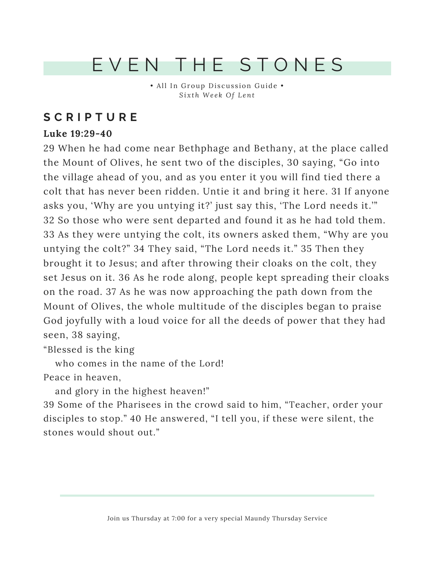## EVEN THE STONES

• All In Group Discussion Guide • *Si x th We e k Of Lent*

### **S C R I P T U R E**

#### **Luke 19:29-40**

29 When he had come near Bethphage and Bethany, at the place called the Mount of Olives, he sent two of the disciples, 30 saying, "Go into the village ahead of you, and as you enter it you will find tied there a colt that has never been ridden. Untie it and bring it here. 31 If anyone asks you, 'Why are you untying it?' just say this, 'The Lord needs it.'" 32 So those who were sent departed and found it as he had told them. 33 As they were untying the colt, its owners asked them, "Why are you untying the colt?" 34 They said, "The Lord needs it." 35 Then they brought it to Jesus; and after throwing their cloaks on the colt, they set Jesus on it. 36 As he rode along, people kept spreading their cloaks on the road. 37 As he was now approaching the path down from the Mount of Olives, the whole multitude of the disciples began to praise God joyfully with a loud voice for all the deeds of power that they had seen, 38 saying,

"Blessed is the king

who comes in the name of the Lord!

Peace in heaven,

and glory in the highest heaven!"

39 Some of the Pharisees in the crowd said to him, "Teacher, order your disciples to stop." 40 He answered, "I tell you, if these were silent, the stones would shout out."